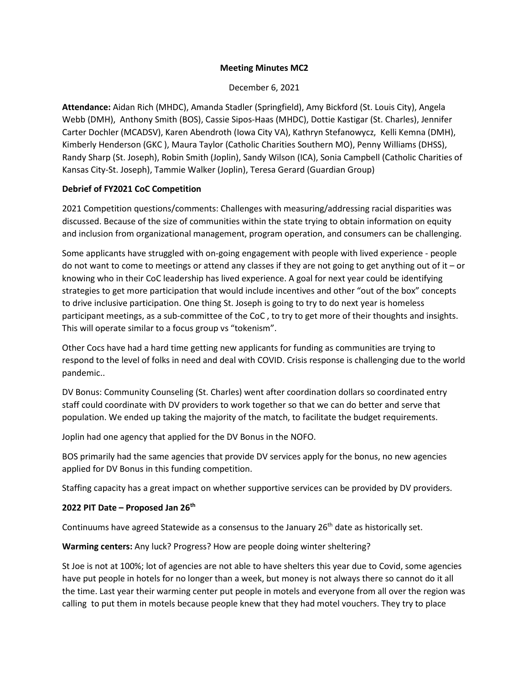## **Meeting Minutes MC2**

December 6, 2021

**Attendance:** Aidan Rich (MHDC), Amanda Stadler (Springfield), Amy Bickford (St. Louis City), Angela Webb (DMH), Anthony Smith (BOS), Cassie Sipos-Haas (MHDC), Dottie Kastigar (St. Charles), Jennifer Carter Dochler (MCADSV), Karen Abendroth (Iowa City VA), Kathryn Stefanowycz, Kelli Kemna (DMH), Kimberly Henderson (GKC ), Maura Taylor (Catholic Charities Southern MO), Penny Williams (DHSS), Randy Sharp (St. Joseph), Robin Smith (Joplin), Sandy Wilson (ICA), Sonia Campbell (Catholic Charities of Kansas City-St. Joseph), Tammie Walker (Joplin), Teresa Gerard (Guardian Group)

## **Debrief of FY2021 CoC Competition**

2021 Competition questions/comments: Challenges with measuring/addressing racial disparities was discussed. Because of the size of communities within the state trying to obtain information on equity and inclusion from organizational management, program operation, and consumers can be challenging.

Some applicants have struggled with on-going engagement with people with lived experience - people do not want to come to meetings or attend any classes if they are not going to get anything out of it – or knowing who in their CoC leadership has lived experience. A goal for next year could be identifying strategies to get more participation that would include incentives and other "out of the box" concepts to drive inclusive participation. One thing St. Joseph is going to try to do next year is homeless participant meetings, as a sub-committee of the CoC , to try to get more of their thoughts and insights. This will operate similar to a focus group vs "tokenism".

Other Cocs have had a hard time getting new applicants for funding as communities are trying to respond to the level of folks in need and deal with COVID. Crisis response is challenging due to the world pandemic..

DV Bonus: Community Counseling (St. Charles) went after coordination dollars so coordinated entry staff could coordinate with DV providers to work together so that we can do better and serve that population. We ended up taking the majority of the match, to facilitate the budget requirements.

Joplin had one agency that applied for the DV Bonus in the NOFO.

BOS primarily had the same agencies that provide DV services apply for the bonus, no new agencies applied for DV Bonus in this funding competition.

Staffing capacity has a great impact on whether supportive services can be provided by DV providers.

## **2022 PIT Date – Proposed Jan 26th**

Continuums have agreed Statewide as a consensus to the January  $26<sup>th</sup>$  date as historically set.

**Warming centers:** Any luck? Progress? How are people doing winter sheltering?

St Joe is not at 100%; lot of agencies are not able to have shelters this year due to Covid, some agencies have put people in hotels for no longer than a week, but money is not always there so cannot do it all the time. Last year their warming center put people in motels and everyone from all over the region was calling to put them in motels because people knew that they had motel vouchers. They try to place